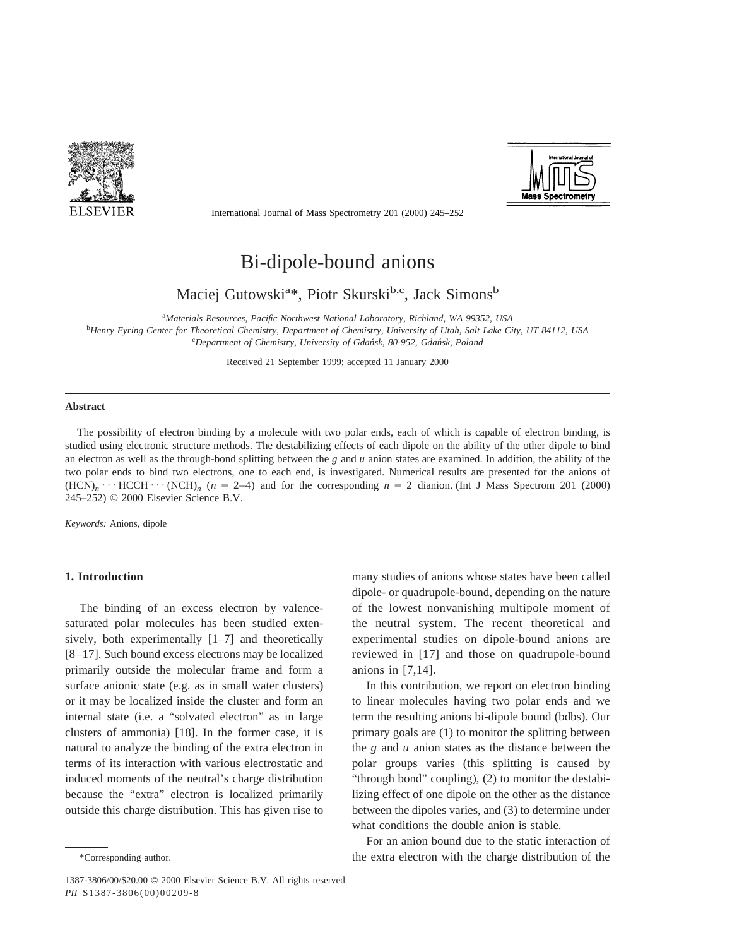



International Journal of Mass Spectrometry 201 (2000) 245–252

# Bi-dipole-bound anions

Maciej Gutowski<sup>a\*</sup>, Piotr Skurski<sup>b,c</sup>, Jack Simons<sup>b</sup>

a *Materials Resources, Pacific Northwest National Laboratory, Richland, WA 99352, USA*

b *Henry Eyring Center for Theoretical Chemistry, Department of Chemistry, University of Utah, Salt Lake City, UT 84112, USA* c *Department of Chemistry, University of Gdan´sk, 80-952, Gdan´sk, Poland*

Received 21 September 1999; accepted 11 January 2000

#### **Abstract**

The possibility of electron binding by a molecule with two polar ends, each of which is capable of electron binding, is studied using electronic structure methods. The destabilizing effects of each dipole on the ability of the other dipole to bind an electron as well as the through-bond splitting between the *g* and *u* anion states are examined. In addition, the ability of the two polar ends to bind two electrons, one to each end, is investigated. Numerical results are presented for the anions of  $(HCN)_n \cdots HCCH \cdots (NCH)_n$  ( $n = 2-4$ ) and for the corresponding  $n = 2$  dianion. (Int J Mass Spectrom 201 (2000) 245–252) © 2000 Elsevier Science B.V.

*Keywords:* Anions, dipole

# **1. Introduction**

The binding of an excess electron by valencesaturated polar molecules has been studied extensively, both experimentally [1–7] and theoretically [8–17]. Such bound excess electrons may be localized primarily outside the molecular frame and form a surface anionic state (e.g. as in small water clusters) or it may be localized inside the cluster and form an internal state (i.e. a "solvated electron" as in large clusters of ammonia) [18]. In the former case, it is natural to analyze the binding of the extra electron in terms of its interaction with various electrostatic and induced moments of the neutral's charge distribution because the "extra" electron is localized primarily outside this charge distribution. This has given rise to many studies of anions whose states have been called dipole- or quadrupole-bound, depending on the nature of the lowest nonvanishing multipole moment of the neutral system. The recent theoretical and experimental studies on dipole-bound anions are reviewed in [17] and those on quadrupole-bound anions in [7,14].

In this contribution, we report on electron binding to linear molecules having two polar ends and we term the resulting anions bi-dipole bound (bdbs). Our primary goals are (1) to monitor the splitting between the *g* and *u* anion states as the distance between the polar groups varies (this splitting is caused by "through bond" coupling), (2) to monitor the destabilizing effect of one dipole on the other as the distance between the dipoles varies, and (3) to determine under what conditions the double anion is stable.

For an anion bound due to the static interaction of \*Corresponding author. the extra electron with the charge distribution of the

<sup>1387-3806/00/\$20.00 © 2000</sup> Elsevier Science B.V. All rights reserved *PII* S1387-3806(00)00209-8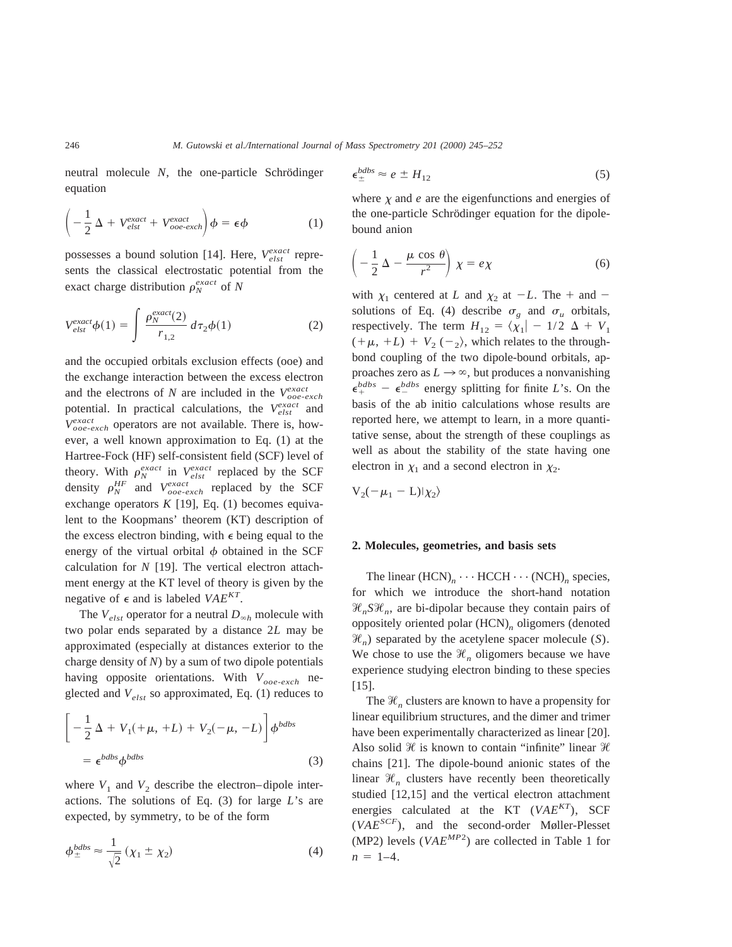neutral molecule *N*, the one-particle Schrödinger equation

$$
\left(-\frac{1}{2}\Delta + V_{elst}^{exact} + V_{ooe-exch}^{exact}\right)\phi = \epsilon\phi
$$
 (1)

possesses a bound solution [14]. Here,  $V_{elst}^{exact}$  represents the classical electrostatic potential from the exact charge distribution  $\rho_N^{exact}$  of *N* 

$$
V_{elst}^{exact}\phi(1) = \int \frac{\rho_N^{exact}(2)}{r_{1,2}} d\tau_2 \phi(1) \tag{2}
$$

and the occupied orbitals exclusion effects (ooe) and the exchange interaction between the excess electron and the electrons of *N* are included in the  $V_{ooe-exch}^{exact}$ potential. In practical calculations, the  $V_{elst}^{exact}$  and *Vooe*-*exch exact* operators are not available. There is, however, a well known approximation to Eq. (1) at the Hartree-Fock (HF) self-consistent field (SCF) level of theory. With  $\rho_N^{exact}$  in  $V_{elst}^{exact}$  replaced by the SCF density  $\rho_N^{HF}$  and  $V_{ooe-exch}^{exact}$  replaced by the SCF exchange operators  $K$  [19], Eq. (1) becomes equivalent to the Koopmans' theorem (KT) description of the excess electron binding, with  $\epsilon$  being equal to the energy of the virtual orbital  $\phi$  obtained in the SCF calculation for *N* [19]. The vertical electron attachment energy at the KT level of theory is given by the negative of  $\epsilon$  and is labeled *VAE<sup>KT</sup>*.

The  $V_{elst}$  operator for a neutral  $D_{\infty h}$  molecule with two polar ends separated by a distance 2*L* may be approximated (especially at distances exterior to the charge density of *N*) by a sum of two dipole potentials having opposite orientations. With  $V_{ooe-exch}$  neglected and *Velst* so approximated, Eq. (1) reduces to

$$
\left[ -\frac{1}{2} \Delta + V_1(+\mu, +L) + V_2(-\mu, -L) \right] \phi^{bdbs}
$$

$$
= \epsilon^{bdbs} \phi^{bdbs}
$$
(3)

where  $V_1$  and  $V_2$  describe the electron–dipole interactions. The solutions of Eq. (3) for large *L*'s are expected, by symmetry, to be of the form

$$
\phi_{\pm}^{bdbs} \approx \frac{1}{\sqrt{2}} \left( \chi_1 \pm \chi_2 \right) \tag{4}
$$

$$
\epsilon_{\pm}^{bdbs} \approx e \pm H_{12} \tag{5}
$$

where  $\chi$  and  $e$  are the eigenfunctions and energies of the one-particle Schrödinger equation for the dipolebound anion

$$
\left(-\frac{1}{2}\,\Delta - \frac{\mu\,\cos\,\theta}{r^2}\right)\,\chi = e\,\chi\tag{6}
$$

with  $\chi_1$  centered at *L* and  $\chi_2$  at  $-L$ . The + and solutions of Eq. (4) describe  $\sigma_g$  and  $\sigma_u$  orbitals, respectively. The term  $H_{12} = \langle \chi_1 | -1/2 \Delta + V_1 \rangle$  $(+\mu, +L) + V_2$  (-<sub>2</sub>), which relates to the throughbond coupling of the two dipole-bound orbitals, approaches zero as  $L \rightarrow \infty$ , but produces a nonvanishing  $\epsilon_{+}^{bdbs}$  –  $\epsilon_{-}^{bdbs}$  energy splitting for finite *L*'s. On the basis of the ab initio calculations whose results are reported here, we attempt to learn, in a more quantitative sense, about the strength of these couplings as well as about the stability of the state having one electron in  $\chi_1$  and a second electron in  $\chi_2$ .

$$
V_2(-\mu_1 - L)|\chi_2\rangle
$$

#### **2. Molecules, geometries, and basis sets**

The linear  $(HCN)_n \cdots HCCH \cdots (NCH)_n$  species, for which we introduce the short-hand notation  $\mathcal{H}_nS\mathcal{H}_n$ , are bi-dipolar because they contain pairs of oppositely oriented polar (HCN)*<sup>n</sup>* oligomers (denoted  $\mathcal{H}_n$ ) separated by the acetylene spacer molecule (*S*). We chose to use the  $\mathcal{H}_n$  oligomers because we have experience studying electron binding to these species [15].

The  $\mathcal{H}_n$  clusters are known to have a propensity for linear equilibrium structures, and the dimer and trimer have been experimentally characterized as linear [20]. Also solid  $\mathcal H$  is known to contain "infinite" linear  $\mathcal H$ chains [21]. The dipole-bound anionic states of the linear  $\mathcal{H}_n$  clusters have recently been theoretically studied [12,15] and the vertical electron attachment energies calculated at the KT  $(VAE^{KT})$ , SCF (*VAESCF*), and the second-order Møller-Plesset (MP2) levels (*VAEMP*<sup>2</sup> ) are collected in Table 1 for  $n = 1 - 4$ .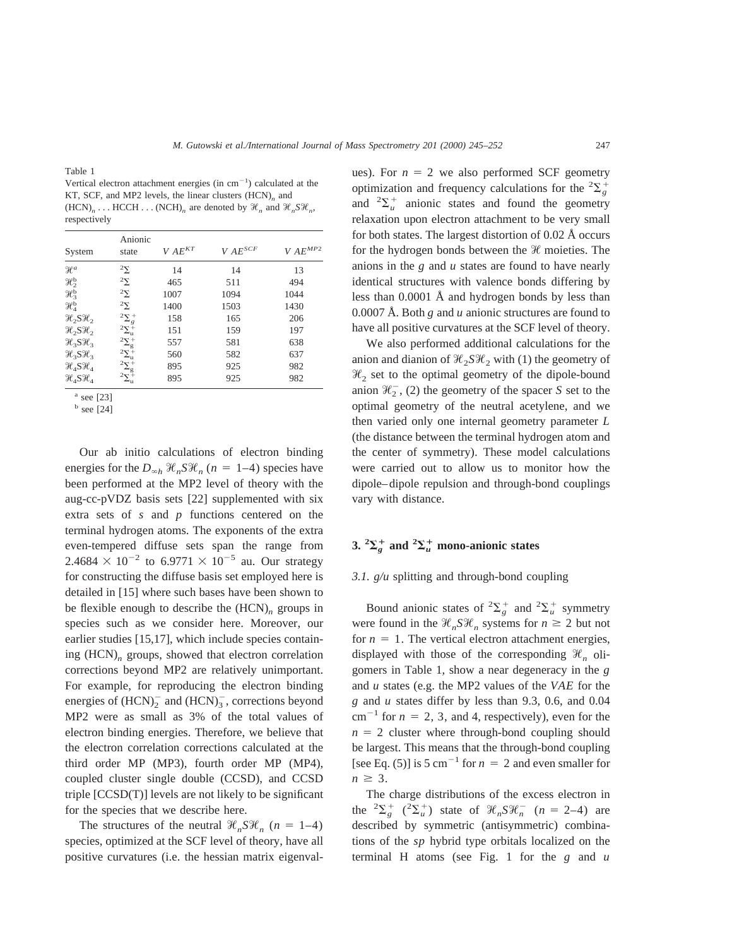Table 1

Vertical electron attachment energies (in  $cm^{-1}$ ) calculated at the KT, SCF, and MP2 levels, the linear clusters (HCN)<sub>n</sub> and  $(HCN)_n$ ....  $HCCH$ ...  $(NCH)_n$  are denoted by  $\mathcal{H}_n$  and  $\mathcal{H}_n\mathcal{SH}_n$ , respectively

| System                           | Anionic<br>state                                            | $V A E^{KT}$ | $V A E^{SCF}$ | $V\,AE^{MP2}$ |
|----------------------------------|-------------------------------------------------------------|--------------|---------------|---------------|
| $\mathcal{H}^a$                  | $^2\Sigma$                                                  | 14           | 14            | 13            |
| $\mathcal{H}_2^{\rm b}$          | $2\Sigma$                                                   | 465          | 511           | 494           |
| $\mathcal{H}_3^{\rm b}$          | $2\Sigma$                                                   | 1007         | 1094          | 1044          |
| $\mathcal{H}^{\rm b}_4$          | $^2\Sigma$                                                  | 1400         | 1503          | 1430          |
| $\mathcal{H}_2 S \mathcal{H}_2$  | $^{2}\Sigma_{g}^{+}$                                        | 158          | 165           | 206           |
| $\mathcal{H}_2$ $S\mathcal{H}_2$ | $2\Sigma_{\rm u}^{\rm \mp}$                                 | 151          | 159           | 197           |
| $\mathcal{H}_3 S \mathcal{H}_3$  |                                                             | 557          | 581           | 638           |
| $\mathcal{H}_3 S \mathcal{H}_3$  | $\begin{array}{c} 2 \Sigma_g^+ \\ 2 \Sigma_u^+ \end{array}$ | 560          | 582           | 637           |
| $\mathcal{H}_4$ $S\mathcal{H}_4$ | $^{2}\Sigma_{\rm g}^{+}$                                    | 895          | 925           | 982           |
| $\mathcal{H}_A S \mathcal{H}_A$  | $2\Sigma_{\rm u}^+$                                         | 895          | 925           | 982           |

<sup>a</sup> see [23]

 $<sup>b</sup>$  see [24]</sup>

Our ab initio calculations of electron binding energies for the  $D_{\infty h}$   $\mathcal{H}_n S \mathcal{H}_n$  ( $n = 1-4$ ) species have been performed at the MP2 level of theory with the aug-cc-pVDZ basis sets [22] supplemented with six extra sets of *s* and *p* functions centered on the terminal hydrogen atoms. The exponents of the extra even-tempered diffuse sets span the range from 2.4684  $\times$  10<sup>-2</sup> to 6.9771  $\times$  10<sup>-5</sup> au. Our strategy for constructing the diffuse basis set employed here is detailed in [15] where such bases have been shown to be flexible enough to describe the (HCN)*<sup>n</sup>* groups in species such as we consider here. Moreover, our earlier studies [15,17], which include species containing (HCN)*<sup>n</sup>* groups, showed that electron correlation corrections beyond MP2 are relatively unimportant. For example, for reproducing the electron binding energies of  $(HCN)_2^-$  and  $(HCN)_3^-$ , corrections beyond MP2 were as small as 3% of the total values of electron binding energies. Therefore, we believe that the electron correlation corrections calculated at the third order MP (MP3), fourth order MP (MP4), coupled cluster single double (CCSD), and CCSD triple [CCSD(T)] levels are not likely to be significant for the species that we describe here.

The structures of the neutral  $\mathcal{H}_nS\mathcal{H}_n$  (*n* = 1–4) species, optimized at the SCF level of theory, have all positive curvatures (i.e. the hessian matrix eigenval-

ues). For  $n = 2$  we also performed SCF geometry optimization and frequency calculations for the  ${}^{2}\Sigma_{g}^{+}$ and  ${}^{2}\Sigma_{u}^{+}$  anionic states and found the geometry relaxation upon electron attachment to be very small for both states. The largest distortion of 0.02 Å occurs for the hydrogen bonds between the  $\mathcal H$  moieties. The anions in the *g* and *u* states are found to have nearly identical structures with valence bonds differing by less than 0.0001 Å and hydrogen bonds by less than 0.0007 Å. Both *g* and *u* anionic structures are found to have all positive curvatures at the SCF level of theory.

We also performed additional calculations for the anion and dianion of  $\mathcal{H}_2 S \mathcal{H}_2$  with (1) the geometry of  $\mathcal{H}_2$  set to the optimal geometry of the dipole-bound anion  $\mathcal{H}_2^-$ , (2) the geometry of the spacer *S* set to the optimal geometry of the neutral acetylene, and we then varied only one internal geometry parameter *L* (the distance between the terminal hydrogen atom and the center of symmetry). These model calculations were carried out to allow us to monitor how the dipole–dipole repulsion and through-bond couplings vary with distance.

# **3.**  ${}^{2}\Sigma_{g}^{+}$  and  ${}^{2}\Sigma_{u}^{+}$  mono-anionic states

## *3.1. g/u* splitting and through-bond coupling

Bound anionic states of  ${}^2\Sigma_g^+$  and  ${}^2\Sigma_u^+$  symmetry were found in the  $\mathcal{H}_n S \mathcal{H}_n$  systems for  $n \geq 2$  but not for  $n = 1$ . The vertical electron attachment energies, displayed with those of the corresponding  $\mathcal{H}_n$  oligomers in Table 1, show a near degeneracy in the *g* and *u* states (e.g. the MP2 values of the *VAE* for the *g* and *u* states differ by less than 9.3, 0.6, and 0.04  $cm^{-1}$  for  $n = 2, 3$ , and 4, respectively), even for the  $n = 2$  cluster where through-bond coupling should be largest. This means that the through-bond coupling [see Eq. (5)] is 5 cm<sup>-1</sup> for  $n = 2$  and even smaller for  $n \geq 3$ .

The charge distributions of the excess electron in the  ${}^{2}\Sigma_{g}^{+}$  ( ${}^{2}\Sigma_{u}^{+}$ ) state of  $\mathcal{H}_{n}S\mathcal{H}_{n}^{-}$  (*n* = 2–4) are described by symmetric (antisymmetric) combinations of the *sp* hybrid type orbitals localized on the terminal H atoms (see Fig. 1 for the *g* and *u*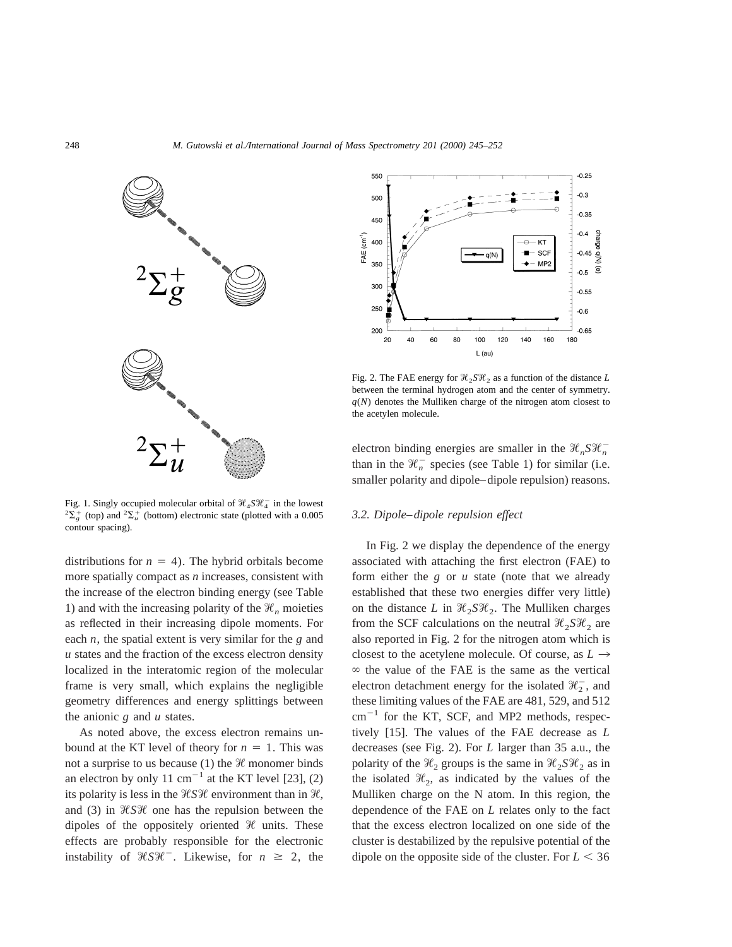

Fig. 1. Singly occupied molecular orbital of  $\mathcal{H}_4 S \mathcal{H}_4^-$  in the lowest  ${}^{2}\Sigma_{g}^{+}$  (top) and  ${}^{2}\Sigma_{u}^{+}$  (bottom) electronic state (plotted with a 0.005 contour spacing).

distributions for  $n = 4$ ). The hybrid orbitals become more spatially compact as *n* increases, consistent with the increase of the electron binding energy (see Table 1) and with the increasing polarity of the  $\mathcal{H}_n$  moieties as reflected in their increasing dipole moments. For each *n*, the spatial extent is very similar for the *g* and *u* states and the fraction of the excess electron density localized in the interatomic region of the molecular frame is very small, which explains the negligible geometry differences and energy splittings between the anionic *g* and *u* states.

As noted above, the excess electron remains unbound at the KT level of theory for  $n = 1$ . This was not a surprise to us because (1) the  $\mathcal H$  monomer binds an electron by only 11 cm<sup>-1</sup> at the KT level [23], (2) its polarity is less in the  $\mathcal{H}S\mathcal{H}$  environment than in  $\mathcal{H}$ , and (3) in  $\mathcal{H}S\mathcal{H}$  one has the repulsion between the dipoles of the oppositely oriented  $\mathcal{H}$  units. These effects are probably responsible for the electronic instability of  $\mathcal{H}S\mathcal{H}^-$ . Likewise, for  $n \geq 2$ , the



Fig. 2. The FAE energy for  $\mathcal{H}_2 S \mathcal{H}_2$  as a function of the distance *L* between the terminal hydrogen atom and the center of symmetry.  $q(N)$  denotes the Mulliken charge of the nitrogen atom closest to the acetylen molecule.

electron binding energies are smaller in the  $\mathcal{H}_n S \mathcal{H}_n^$ than in the  $\mathcal{H}^-_n$  species (see Table 1) for similar (i.e. smaller polarity and dipole–dipole repulsion) reasons.

#### *3.2. Dipole–dipole repulsion effect*

In Fig. 2 we display the dependence of the energy associated with attaching the first electron (FAE) to form either the *g* or *u* state (note that we already established that these two energies differ very little) on the distance *L* in  $\mathcal{H}_2 S \mathcal{H}_2$ . The Mulliken charges from the SCF calculations on the neutral  $\mathcal{H}_2 S \mathcal{H}_2$  are also reported in Fig. 2 for the nitrogen atom which is closest to the acetylene molecule. Of course, as  $L \rightarrow$  $\infty$  the value of the FAE is the same as the vertical electron detachment energy for the isolated  $\mathcal{H}_2^-$ , and these limiting values of the FAE are 481, 529, and 512  $cm^{-1}$  for the KT, SCF, and MP2 methods, respectively [15]. The values of the FAE decrease as *L* decreases (see Fig. 2). For *L* larger than 35 a.u., the polarity of the  $\mathcal{H}_2$  groups is the same in  $\mathcal{H}_2 S \mathcal{H}_2$  as in the isolated  $\mathcal{H}_2$ , as indicated by the values of the Mulliken charge on the N atom. In this region, the dependence of the FAE on *L* relates only to the fact that the excess electron localized on one side of the cluster is destabilized by the repulsive potential of the dipole on the opposite side of the cluster. For  $L < 36$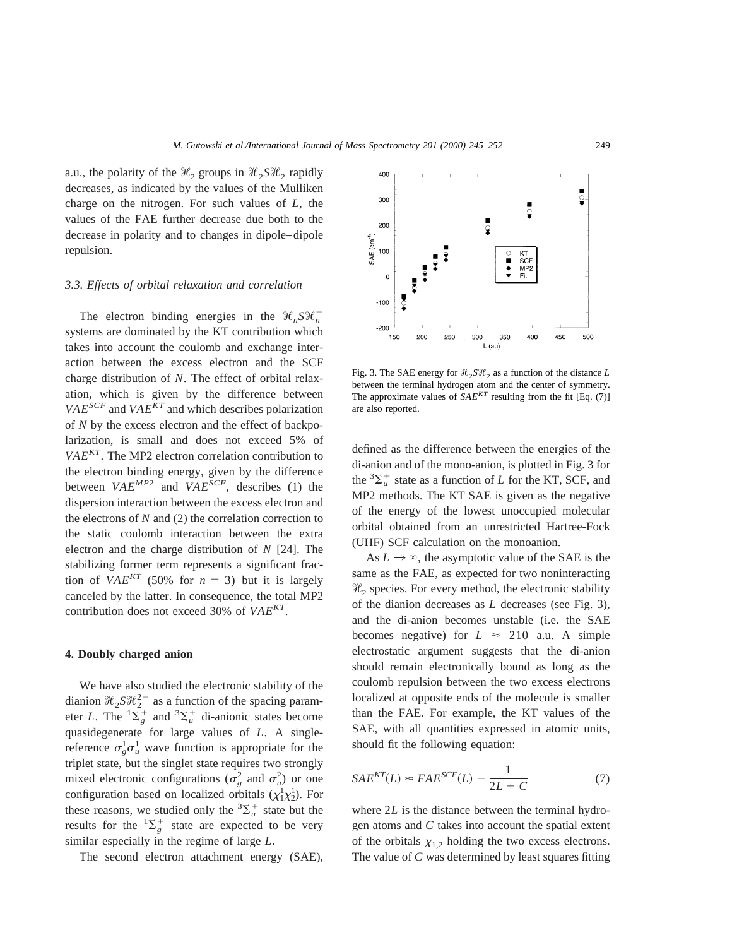a.u., the polarity of the  $\mathcal{H}_2$  groups in  $\mathcal{H}_2 S \mathcal{H}_2$  rapidly decreases, as indicated by the values of the Mulliken charge on the nitrogen. For such values of *L*, the values of the FAE further decrease due both to the decrease in polarity and to changes in dipole–dipole repulsion.

#### *3.3. Effects of orbital relaxation and correlation*

The electron binding energies in the  $\mathcal{H}_n S \mathcal{H}_n^$ systems are dominated by the KT contribution which takes into account the coulomb and exchange interaction between the excess electron and the SCF charge distribution of *N*. The effect of orbital relaxation, which is given by the difference between  $VAE<sup>SCF</sup>$  and  $VAE<sup>KT</sup>$  and which describes polarization of *N* by the excess electron and the effect of backpolarization, is small and does not exceed 5% of *VAEKT*. The MP2 electron correlation contribution to the electron binding energy, given by the difference between  $VAE^{MP2}$  and  $VAE^{SCF}$ , describes (1) the dispersion interaction between the excess electron and the electrons of *N* and (2) the correlation correction to the static coulomb interaction between the extra electron and the charge distribution of *N* [24]. The stabilizing former term represents a significant fraction of *VAE<sup>KT</sup>* (50% for  $n = 3$ ) but it is largely canceled by the latter. In consequence, the total MP2 contribution does not exceed 30% of *VAEKT*.

#### **4. Doubly charged anion**

We have also studied the electronic stability of the dianion  $\mathcal{H}_2 S \mathcal{H}_2^{2-}$  as a function of the spacing parameter *L*. The  ${}^{1}\Sigma_{g}^{+}$  and  ${}^{3}\Sigma_{u}^{+}$  di-anionic states become quasidegenerate for large values of *L*. A singlereference  $\sigma_g^1 \sigma_u^1$  wave function is appropriate for the triplet state, but the singlet state requires two strongly mixed electronic configurations ( $\sigma_g^2$  and  $\sigma_u^2$ ) or one configuration based on localized orbitals  $(\chi_1^1 \chi_2^1)$ . For these reasons, we studied only the  ${}^3\Sigma_u^+$  state but the results for the  ${}^{1}\Sigma_{g}^{+}$  state are expected to be very similar especially in the regime of large *L*.

The second electron attachment energy (SAE),



Fig. 3. The SAE energy for  $\mathcal{H}_2 S \mathcal{H}_2$  as a function of the distance *L* between the terminal hydrogen atom and the center of symmetry. The approximate values of  $SAE^{KT}$  resulting from the fit [Eq. (7)] are also reported.

defined as the difference between the energies of the di-anion and of the mono-anion, is plotted in Fig. 3 for the  ${}^{3}\Sigma_{u}^{+}$  state as a function of *L* for the KT, SCF, and MP2 methods. The KT SAE is given as the negative of the energy of the lowest unoccupied molecular orbital obtained from an unrestricted Hartree-Fock (UHF) SCF calculation on the monoanion.

As  $L \rightarrow \infty$ , the asymptotic value of the SAE is the same as the FAE, as expected for two noninteracting  $\mathcal{H}_2$  species. For every method, the electronic stability of the dianion decreases as *L* decreases (see Fig. 3), and the di-anion becomes unstable (i.e. the SAE becomes negative) for  $L \approx 210$  a.u. A simple electrostatic argument suggests that the di-anion should remain electronically bound as long as the coulomb repulsion between the two excess electrons localized at opposite ends of the molecule is smaller than the FAE. For example, the KT values of the SAE, with all quantities expressed in atomic units, should fit the following equation:

$$
SAE^{KT}(L) \approx FAE^{SCF}(L) - \frac{1}{2L+C}
$$
 (7)

where 2*L* is the distance between the terminal hydrogen atoms and *C* takes into account the spatial extent of the orbitals  $\chi_{1,2}$  holding the two excess electrons. The value of *C* was determined by least squares fitting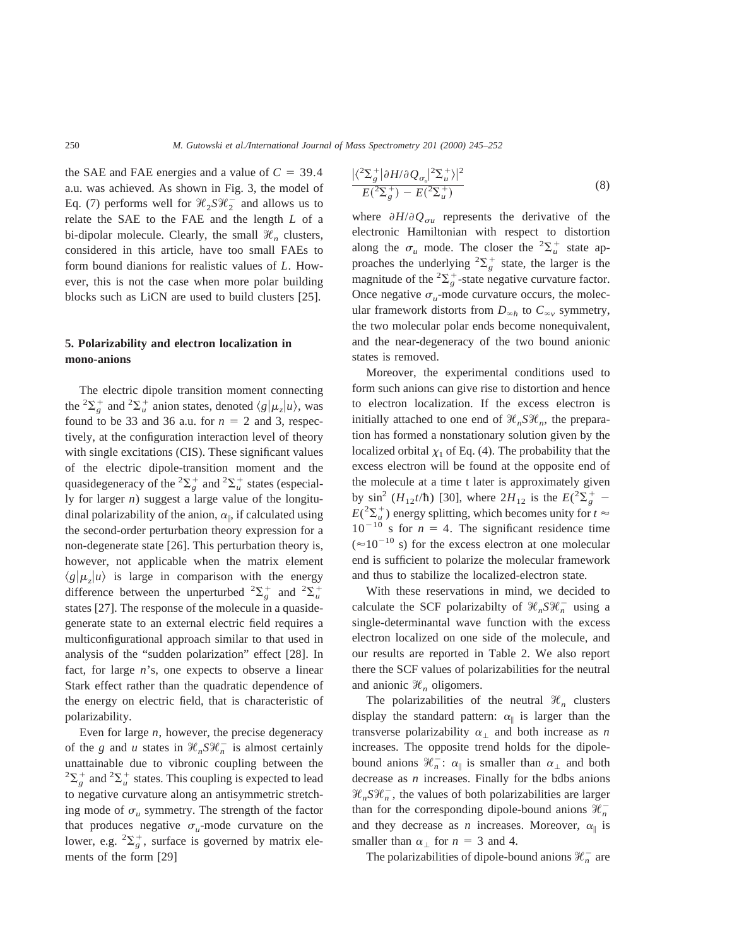the SAE and FAE energies and a value of  $C = 39.4$ a.u. was achieved. As shown in Fig. 3, the model of Eq. (7) performs well for  $\mathcal{H}_2 S \mathcal{H}_2^-$  and allows us to relate the SAE to the FAE and the length *L* of a bi-dipolar molecule. Clearly, the small  $\mathcal{H}_n$  clusters, considered in this article, have too small FAEs to form bound dianions for realistic values of *L*. However, this is not the case when more polar building blocks such as LiCN are used to build clusters [25].

# **5. Polarizability and electron localization in mono-anions**

The electric dipole transition moment connecting the <sup>2</sup> $\sum_{g}^{+}$  and <sup>2</sup> $\sum_{u}^{+}$  anion states, denoted  $\langle g | \mu_z | u \rangle$ , was found to be 33 and 36 a.u. for  $n = 2$  and 3, respectively, at the configuration interaction level of theory with single excitations (CIS). These significant values of the electric dipole-transition moment and the quasidegeneracy of the <sup>2</sup> $\sum_{g}^{+}$  and <sup>2</sup> $\sum_{u}^{+}$  states (especially for larger *n*) suggest a large value of the longitudinal polarizability of the anion,  $\alpha_{\parallel}$ , if calculated using the second-order perturbation theory expression for a non-degenerate state [26]. This perturbation theory is, however, not applicable when the matrix element  $\langle g|\mu_z|u\rangle$  is large in comparison with the energy difference between the unperturbed  ${}^{2}\Sigma_{g}^{+}$  and  ${}^{2}\Sigma_{u}^{+}$ states [27]. The response of the molecule in a quasidegenerate state to an external electric field requires a multiconfigurational approach similar to that used in analysis of the "sudden polarization" effect [28]. In fact, for large *n*'s, one expects to observe a linear Stark effect rather than the quadratic dependence of the energy on electric field, that is characteristic of polarizability.

Even for large *n*, however, the precise degeneracy of the *g* and *u* states in  $\mathcal{H}_n S \mathcal{H}_n^-$  is almost certainly unattainable due to vibronic coupling between the  ${}^{2}\Sigma_{g}^{+}$  and  ${}^{2}\Sigma_{u}^{+}$  states. This coupling is expected to lead to negative curvature along an antisymmetric stretching mode of  $\sigma_u$  symmetry. The strength of the factor that produces negative  $\sigma_u$ -mode curvature on the lower, e.g.  ${}^{2}\Sigma_{g}^{+}$ , surface is governed by matrix elements of the form [29]

$$
\frac{|\langle^2 \Sigma_g^+ | \partial H / \partial Q_{\sigma_u} |^2 \Sigma_u^+ \rangle|^2}{E(^2 \Sigma_g^+ ) - E(^2 \Sigma_u^+)} \tag{8}
$$

where  $\partial H/\partial Q_{\sigma u}$  represents the derivative of the electronic Hamiltonian with respect to distortion along the  $\sigma_u$  mode. The closer the <sup>2</sup> $\sum_u^+$  state approaches the underlying  ${}^{2}\Sigma_{g}^{+}$  state, the larger is the magnitude of the  ${}^{2}\Sigma_{g}^{+}$ -state negative curvature factor. Once negative  $\sigma_{\mu}$ -mode curvature occurs, the molecular framework distorts from  $D_{\infty h}$  to  $C_{\infty v}$  symmetry, the two molecular polar ends become nonequivalent, and the near-degeneracy of the two bound anionic states is removed.

Moreover, the experimental conditions used to form such anions can give rise to distortion and hence to electron localization. If the excess electron is initially attached to one end of  $\mathcal{H}_n S \mathcal{H}_n$ , the preparation has formed a nonstationary solution given by the localized orbital  $\chi_1$  of Eq. (4). The probability that the excess electron will be found at the opposite end of the molecule at a time t later is approximately given by  $\sin^2(H_{12}t/\hbar)$  [30], where  $2H_{12}$  is the  $E({}^2\Sigma_g^+$  –  $E({}^{2}\Sigma_{u}^{+})$  energy splitting, which becomes unity for  $t \approx$  $10^{-10}$  s for  $n = 4$ . The significant residence time  $(10^{-10}$  s) for the excess electron at one molecular end is sufficient to polarize the molecular framework and thus to stabilize the localized-electron state.

With these reservations in mind, we decided to calculate the SCF polarizabilty of  $\mathcal{H}_n S \mathcal{H}_n^-$  using a single-determinantal wave function with the excess electron localized on one side of the molecule, and our results are reported in Table 2. We also report there the SCF values of polarizabilities for the neutral and anionic  $\mathcal{H}_n$  oligomers.

The polarizabilities of the neutral  $\mathcal{H}_n$  clusters display the standard pattern:  $\alpha_{\parallel}$  is larger than the transverse polarizability  $\alpha_{\perp}$  and both increase as *n* increases. The opposite trend holds for the dipolebound anions  $\mathcal{H}_n^-$ :  $\alpha_{\parallel}$  is smaller than  $\alpha_{\perp}$  and both decrease as *n* increases. Finally for the bdbs anions  $\mathcal{H}_n S \mathcal{H}_n^-$ , the values of both polarizabilities are larger than for the corresponding dipole-bound anions  $\mathcal{H}^-_n$ and they decrease as *n* increases. Moreover,  $\alpha_{\parallel}$  is smaller than  $\alpha_{\perp}$  for  $n = 3$  and 4.

The polarizabilities of dipole-bound anions  $\mathcal{H}_n^-$  are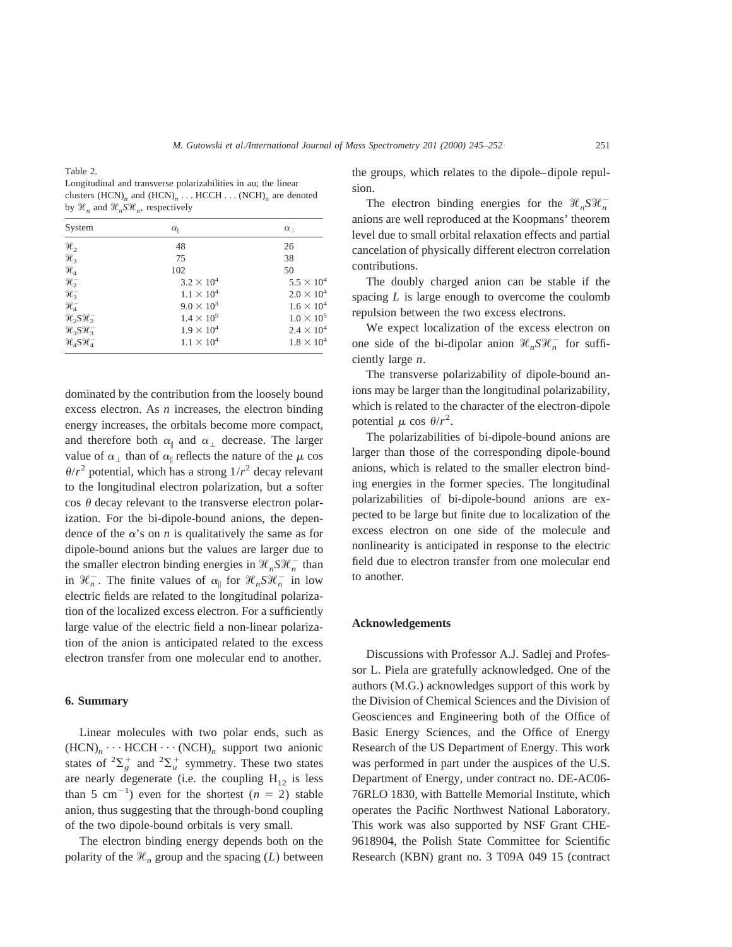Table 2.

Longitudinal and transverse polarizabilities in au; the linear clusters (HCN)<sub>n</sub> and (HCN)<sub>n</sub> . . . HCCH . . . (NCH)<sub>n</sub> are denoted by  $\mathcal{H}_n$  and  $\mathcal{H}_nS\mathcal{H}_n$ , respectively

| System                              | $\alpha_{\parallel}$ | $\alpha_{\perp}$  |
|-------------------------------------|----------------------|-------------------|
| $\mathcal{H}_2$                     | 48                   | 26                |
| $\mathcal{H}_3$                     | 75                   | 38                |
| $\mathcal{H}_4$                     | 102                  | 50                |
| $\mathcal{H}^-_2$                   | $3.2 \times 10^{4}$  | $5.5 \times 10^4$ |
| $\mathcal{H}_3^-$                   | $1.1 \times 10^{4}$  | $2.0 \times 10^4$ |
| $\mathcal{H}^-_4$                   | $9.0 \times 10^{3}$  | $1.6 \times 10^4$ |
| $\mathcal{H}_2$ $S\mathcal{H}_2^-$  | $1.4 \times 10^{5}$  | $1.0 \times 10^5$ |
| $\mathcal{H}_3 S \mathcal{H}_3^-$   | $1.9 \times 10^{4}$  | $2.4 \times 10^4$ |
| $\mathcal{H}_4$ S $\mathcal{H}_4^-$ | $1.1 \times 10^{4}$  | $1.8 \times 10^4$ |

dominated by the contribution from the loosely bound excess electron. As *n* increases, the electron binding energy increases, the orbitals become more compact, and therefore both  $\alpha_{\parallel}$  and  $\alpha_{\perp}$  decrease. The larger value of  $\alpha_{\perp}$  than of  $\alpha_{\parallel}$  reflects the nature of the  $\mu$  cos  $\theta/r^2$  potential, which has a strong  $1/r^2$  decay relevant to the longitudinal electron polarization, but a softer  $\cos \theta$  decay relevant to the transverse electron polarization. For the bi-dipole-bound anions, the dependence of the  $\alpha$ 's on *n* is qualitatively the same as for dipole-bound anions but the values are larger due to the smaller electron binding energies in  $\mathcal{H}_n S \mathcal{H}_n^-$  than in  $\mathcal{H}_n^-$ . The finite values of  $\alpha_{\parallel}$  for  $\mathcal{H}_n S \mathcal{H}_n^-$  in low electric fields are related to the longitudinal polarization of the localized excess electron. For a sufficiently large value of the electric field a non-linear polarization of the anion is anticipated related to the excess electron transfer from one molecular end to another.

#### **6. Summary**

Linear molecules with two polar ends, such as  $(HCN)<sub>n</sub> \cdots HCCH \cdots (NCH)<sub>n</sub>$  support two anionic states of  ${}^{2}\Sigma_{g}^{+}$  and  ${}^{2}\Sigma_{u}^{+}$  symmetry. These two states are nearly degenerate (i.e. the coupling  $H_{12}$  is less than 5 cm<sup>-1</sup>) even for the shortest  $(n = 2)$  stable anion, thus suggesting that the through-bond coupling of the two dipole-bound orbitals is very small.

The electron binding energy depends both on the polarity of the  $\mathcal{H}_n$  group and the spacing (*L*) between

the groups, which relates to the dipole–dipole repulsion.

The electron binding energies for the  $\mathcal{H}_n S \mathcal{H}_n^$ anions are well reproduced at the Koopmans' theorem level due to small orbital relaxation effects and partial cancelation of physically different electron correlation contributions.

The doubly charged anion can be stable if the spacing *L* is large enough to overcome the coulomb repulsion between the two excess electrons.

We expect localization of the excess electron on one side of the bi-dipolar anion  $\mathcal{H}_n S \mathcal{H}_n^-$  for sufficiently large *n*.

The transverse polarizability of dipole-bound anions may be larger than the longitudinal polarizability, which is related to the character of the electron-dipole potential  $\mu$  cos  $\theta/r^2$ .

The polarizabilities of bi-dipole-bound anions are larger than those of the corresponding dipole-bound anions, which is related to the smaller electron binding energies in the former species. The longitudinal polarizabilities of bi-dipole-bound anions are expected to be large but finite due to localization of the excess electron on one side of the molecule and nonlinearity is anticipated in response to the electric field due to electron transfer from one molecular end to another.

## **Acknowledgements**

Discussions with Professor A.J. Sadlej and Professor L. Piela are gratefully acknowledged. One of the authors (M.G.) acknowledges support of this work by the Division of Chemical Sciences and the Division of Geosciences and Engineering both of the Office of Basic Energy Sciences, and the Office of Energy Research of the US Department of Energy. This work was performed in part under the auspices of the U.S. Department of Energy, under contract no. DE-AC06- 76RLO 1830, with Battelle Memorial Institute, which operates the Pacific Northwest National Laboratory. This work was also supported by NSF Grant CHE-9618904, the Polish State Committee for Scientific Research (KBN) grant no. 3 T09A 049 15 (contract